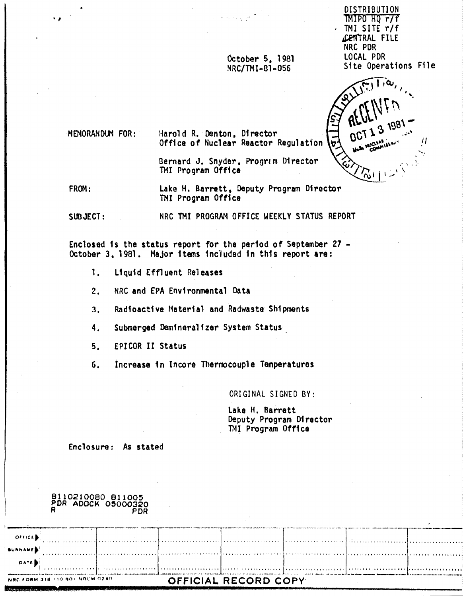**DISTRIBUTION** TMIPO HO r/f TMI SITE r/f CENTRAL FILE NRC PDR LOCAL PDR Site Operations File



. . . . . . . . . . .

MEMORANDUM FOR:

Harold R. Denton, Director Office of Nuclear Reactor Regulation

October 5, 1981

NRC/TMI-81-056

Bernard J. Snyder, Program Director TMI Program Office

FROM: Lake H. Barrett, Deputy Program Director TMI Program Office

NRC TMI PROGRAM OFFICE WEEKLY STATUS REPORT  $SUBJECT:$ 

Enclosed is the status report for the period of September 27 -October 3. 1981. Major items included in this report are:

- $\mathbf{1}$ . Liquid Effluent Releases
- $2.$ NRC and EPA Environmental Data

 $3.$ Radioactive Material and Radwaste Shipments

Submerged Demineralizer System Status  $4.$ 

 $5.$ **EPICOR II Status** 

Increase in Incore Thermocouple Temperatures  $6.$ 

ORIGINAL SIGNED BY:

Lake H. Barrett Deputy Program Director TMI Program Office

Enclosure: As stated

|               |                                  | OTTOSTOORD RIIOOS<br>PDR ADOCK 05000320<br><b>PDR</b> |                      |  |  |
|---------------|----------------------------------|-------------------------------------------------------|----------------------|--|--|
|               |                                  |                                                       |                      |  |  |
| <b>OFFICE</b> |                                  |                                                       |                      |  |  |
| SURNAME       |                                  |                                                       | 1                    |  |  |
| <b>DATE</b>   |                                  |                                                       |                      |  |  |
|               | NRC FORM 318 / 10 80 / NRCM 0240 |                                                       | OFFICIAL RECORD COPY |  |  |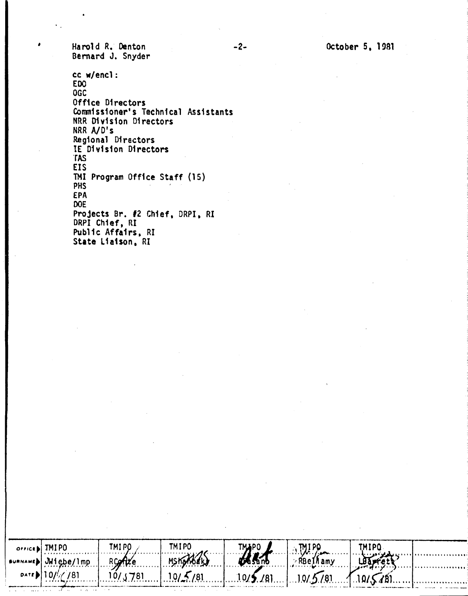Harold R. Denton Bernard J. Snyder

 $\sim$   $\alpha$ 

 $\ldots$ 

 $\cdot$ 

cc w/encl: **EDO** OGC Office Directors Commissioner's Technical Assistants NRR Division Directors NRR A/D's<br>Regional Directors IE Division Directors **TAS EIS** TMI Program Office Staff (15) PHS EPA **DOE** Projects Br. #2 Chief, DRPI, RI<br>DRPI Chief, RI Public Affairs, RI State Liaison, RI

| $O(100)$ TMIPO     | TMI PO- | TMIPO            | <b>TMAPO</b> |           | TMIPO |       |
|--------------------|---------|------------------|--------------|-----------|-------|-------|
|                    | RConte  | <b>MSKOKKERJ</b> |              | ∙RBe1Mamy |       |       |
| DATE 101/7781<br>. | 10/3781 | 10/5/81          | 10/5/81      | 10/5/81   |       | <br>. |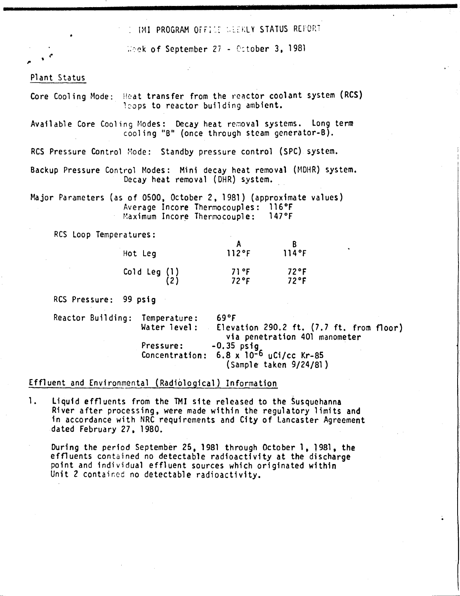. IMI PROGRAM OFFICE WEEKLY STATUS REPOR

..

Whek of September 27 - Cotober 3, 1981

### Plant Status

(' •

,.

Core Cooling Mode: Heat transfer from the reactor coolant system (RCS) 120ps to reactor building ambient.

Available Core Cooling Modes: Decay heat removal systems. Long term . cooling "B" (once through steam generator-B).

RCS Pressure Control Mode: Standby pressure control (SPC) system.

Backup Pressure Control Modes: Mini decay heat removal (MDHR) system. Decay heat removal (DHR) system.

Major Parameters (as of 0500, October 2, 1981) (approximate values) Average Incore Thermocouples: 116°F<br>Maximum Incore Thermocouple: 147°F Maximum Incore Thermocouple:

ReS loop Temperatures:

| Hot Leg                               | 112°F            | 114°F                 |
|---------------------------------------|------------------|-----------------------|
| $\begin{pmatrix} 1 \end{pmatrix}$ (1) | 71 °F<br>$72$ °F | 72°F<br>$72^{\circ}F$ |

RCS Pressure: 99 psig

Pressure: Concentration: 6.8 x 10-6 uCi/cc Kr-85 Temperature: Water 1evel : Reactor Building: Temperature: 69°F Elevation 290.2 ft. (7.7 ft. from floor) via penetration 401 manometer  $-0.35$  psig (Sample taken 9/24/81)

# Effluent and Environmental (Radiological) Information

1. Liquid effluents from the TMI site released to the Susquehanna River after processing, were made within the regulatory limits and in accordance with NRC requirements and City of Lancaster Agreement dated February 27, 1980.

During the period September 25, 1981 through October 1, 1981, the effluents contained no detectable radioactivity at the discharge point and individual effluent sources which originated within Unit 2 contained no detectable radioactivity.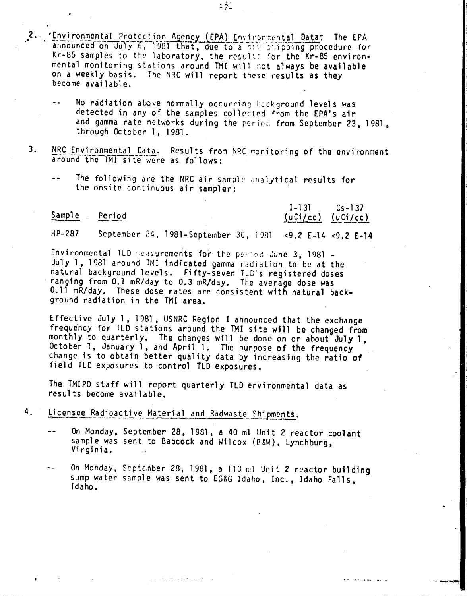- 2. Environmental Protection Agency (EPA) Environmental Data: The EPA announced on July 6, 1981 that, due to a new chipping procedure for Kr-85 samples to the laboratory, the results for the Kr-85 environmental monitoring stations around TMI will not always be available on a weekly basis. The NRC will report these results as they become available.
	- No radiation above normally occurring background levels was detected in any of the samples collected from the EPA's air and gamma rate networks during the period from September 23, 1981, through October 1, 1981.

22L

- $3.$ NRC Environmental Data. Results from NRC monitoring of the environment around the TMI site were as follows:
	- The following are the NRC air sample analytical results for the onsite continuous air sampler:

#### Sample Period

 $1 - 131$  $Cs - 137$  $(uCi/cc)$   $(uCi/cc)$ 

**HP-287** September 24, 1981-September 30, 1981 <9.2 E-14 <9.2 E-14

Environmental TLD measurements for the period June 3, 1981 -July 1, 1981 around TMI indicated gamma radiation to be at the natural background levels. Fifty-seven TLD's registered doses ranging from 0.1 mR/day to 0.3 mR/day. The average dose was 0.11 mR/day. These dose rates are consistent with natural background radiation in the TMI area.

Effective July 1, 1981, USNRC Region I announced that the exchange frequency for TLD stations around the TMI site will be changed from monthly to quarterly. The changes will be done on or about July 1. October 1, January 1, and April 1. The purpose of the frequency change is to obtain better quality data by increasing the ratio of field TLD exposures to control TLD exposures.

The TMIPO staff will report quarterly TLD environmental data as results become available.

### 4. Licensee Radioactive Material and Radwaste Shipments.

- On Monday, September 28, 1981, a 40 ml Unit 2 reactor coolant  $\sim$   $\sim$ sample was sent to Babcock and Wilcox (B&W), Lynchburg, Virginia.
- On Monday, September 28, 1981, a 110 ml Unit 2 reactor building  $\ddot{\bullet}$ sump water sample was sent to EG&G Idaho, Inc., Idaho Falls, Idaho.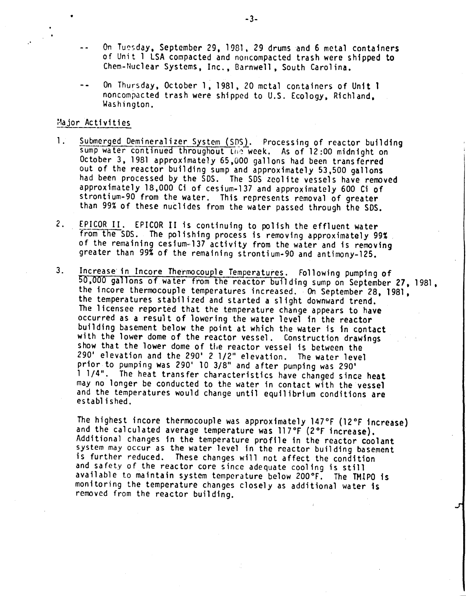- On Tuesday. September 29. 1981, 29 drums and 6 metal containers of Unit 1 LSA compacted and noncompacted trash were shipped to Chem-Nuclear Systems, Inc., Barnwell, South Carolina.
- On Thursday, October 1. 1981, 20 metal containers of Unit 1 noncompacted trash were shipped to U.S. Ecology, Richland. Washington.

### Major Activities

- 1. Submerged Demineralizer System (SDS). Processing of reactor building sump water continued throughout the week. As of 12:00 midnight on October 3, 1981 approximately 65,000 gallons had been transferred out of the reactor building sump and approximately 53,500 gallons had been processed by the 50S. The SOS zeolite vessels have removed approximately 18.000 Ci of cesium-137 and approximately 600 Ci of strontium-90 from the water. This represents removal of greater than 99% of these nuclides from the water passed through the 50S.
- 2. EPICOR II. EPICOR II is continuing to polish the effluent water from the SDS. The polishing process is removing approximately 99% of the remaining cesium.137 activity from the water and is removing greater than 99% of the remaining strontium-90 and antimony-125.
- 3. Increase in Incore Thermocouple Temperatures. Fallowing pumping of 50,000 gallons of water from the reactor building sump on September 27, 1981. the incore thermocouple temperatures increased. On September 28, 1981, the temperatures stabil ized and started a slight downward trend. The 1icensee reported that the temperature change appears to have occurred as a result of lowering the water level in the reactor building basement below the point at which the water is in contact with the lower dome of the reactor vessel. Construction drawings show that the lower dome of the reactor vessel is between the 290' elevation and the 290' 2 1/2" elevation. The water level prior to pumping was 290' 10 3/8" and after pumping was 290' 1 1/4". The heat transfer characteristics have changed since heat may no longer be conducted to the water in contact with the vessel and the temperatures would change until equilibrium conditions are  $establ$ ished.

The highest incore thermocouple was approximately 147°F (12°F increase) and the calculated average temperature was 117°F (2°F increase). Additional changes in the temperature profile in the reactor coolant system may occur as the water level in the reactor building basement is further reduced. These changes will not affect the condition and safety of the reactor core since adequate cooling is stitl available to maintain system temperature below 200°F. The TMIPO is monitoring the temperature changes closely as additional water is removed from the reactor building.